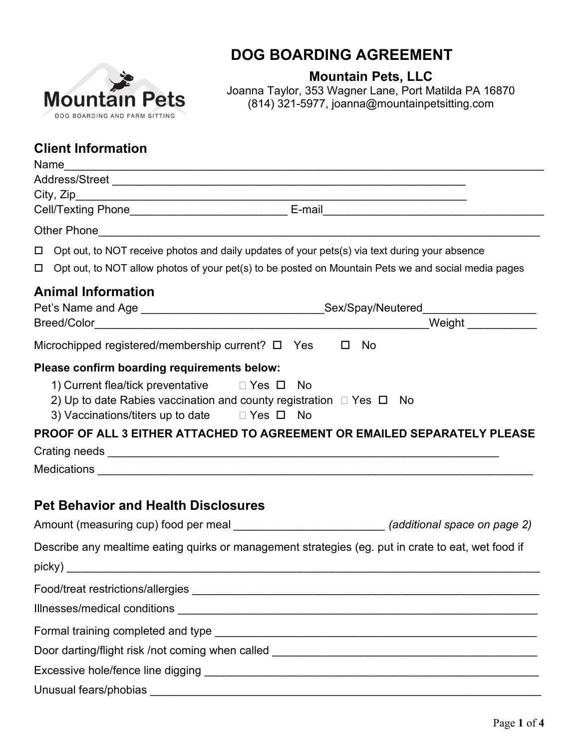

## **DOG BOARDING AGREEMENT**

**Mountain Pets, LLC**

Joanna Taylor, 353 Wagner Lane, Port Matilda PA 16870 (814) 321-5977, joanna@mountainpetsitting.com

## **Client Information**

| Name                                                                                                                                                                                      |                                                                                                      |
|-------------------------------------------------------------------------------------------------------------------------------------------------------------------------------------------|------------------------------------------------------------------------------------------------------|
|                                                                                                                                                                                           |                                                                                                      |
|                                                                                                                                                                                           |                                                                                                      |
|                                                                                                                                                                                           | Cell/Texting Phone__________________________________E-mail______________________                     |
| Other Phone                                                                                                                                                                               |                                                                                                      |
|                                                                                                                                                                                           | $\Box$ Opt out, to NOT receive photos and daily updates of your pets(s) via text during your absence |
| $\Box$                                                                                                                                                                                    | Opt out, to NOT allow photos of your pet(s) to be posted on Mountain Pets we and social media pages  |
| <b>Animal Information</b>                                                                                                                                                                 |                                                                                                      |
|                                                                                                                                                                                           | Pet's Name and Age ______________________________Sex/Spay/Neutered______________                     |
|                                                                                                                                                                                           | Weight _____________                                                                                 |
| Microchipped registered/membership current? $\Box$ Yes $\Box$ No                                                                                                                          |                                                                                                      |
| Please confirm boarding requirements below:                                                                                                                                               |                                                                                                      |
| 1) Current flea/tick preventative DYes D<br>2) Up to date Rabies vaccination and county registration $\Box$ Yes $\Box$ No<br>3) Vaccinations/titers up to date $\square$ Yes $\square$ No | No<br>PROOF OF ALL 3 EITHER ATTACHED TO AGREEMENT OR EMAILED SEPARATELY PLEASE                       |
|                                                                                                                                                                                           |                                                                                                      |
|                                                                                                                                                                                           |                                                                                                      |
| <b>Pet Behavior and Health Disclosures</b>                                                                                                                                                |                                                                                                      |
|                                                                                                                                                                                           | Amount (measuring cup) food per meal ___________________________(additional space on page 2)         |
|                                                                                                                                                                                           | Describe any mealtime eating quirks or management strategies (eg. put in crate to eat, wet food if   |
| picky) and the contract of the contract of the contract of the contract of the contract of the contract of the                                                                            |                                                                                                      |
|                                                                                                                                                                                           |                                                                                                      |
|                                                                                                                                                                                           |                                                                                                      |
|                                                                                                                                                                                           |                                                                                                      |
|                                                                                                                                                                                           |                                                                                                      |
|                                                                                                                                                                                           |                                                                                                      |
|                                                                                                                                                                                           |                                                                                                      |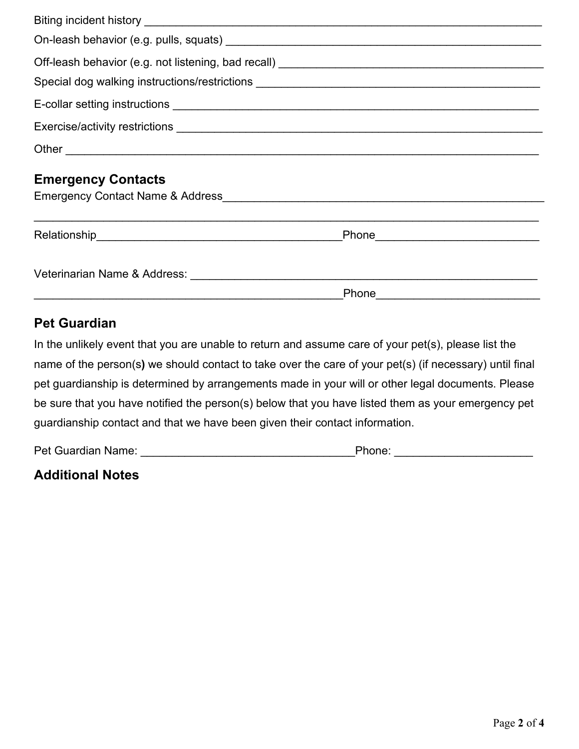|  |                                          |  | <b>Emergency Contacts</b> |  |  |
|--|------------------------------------------|--|---------------------------|--|--|
|  |                                          |  |                           |  |  |
|  | _Phone__________________________________ |  |                           |  |  |
|  |                                          |  |                           |  |  |

## **Pet Guardian**

In the unlikely event that you are unable to return and assume care of your pet(s), please list the name of the person(s**)** we should contact to take over the care of your pet(s) (if necessary) until final pet guardianship is determined by arrangements made in your will or other legal documents. Please be sure that you have notified the person(s) below that you have listed them as your emergency pet guardianship contact and that we have been given their contact information.

Pet Guardian Name: \_\_\_\_\_\_\_\_\_\_\_\_\_\_\_\_\_\_\_\_\_\_\_\_\_\_\_\_\_\_\_\_\_\_Phone: \_\_\_\_\_\_\_\_\_\_\_\_\_\_\_\_\_\_\_\_\_\_

| <b>Additional Notes</b> |  |
|-------------------------|--|
|-------------------------|--|

Phone **that is a set of the set of the set of the set of the set of the set of the set of the set of the set of the set of the set of the set of the set of the set of the set of the set of the set of the set of the set of**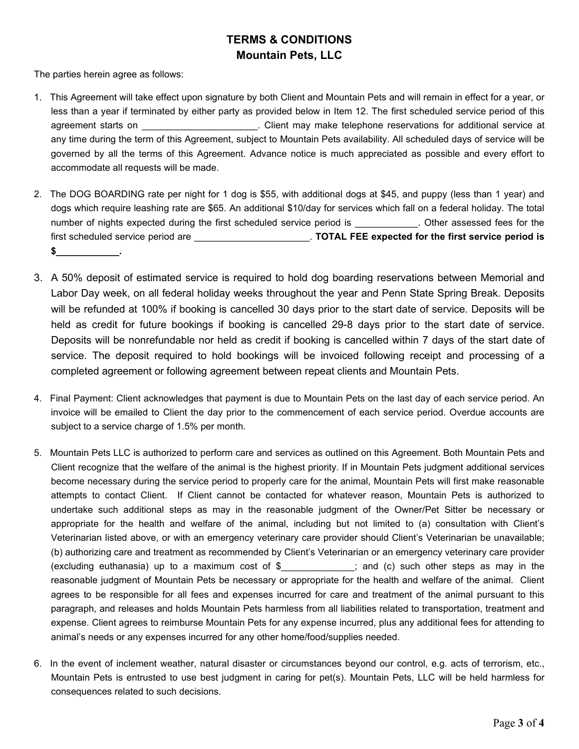## **TERMS & CONDITIONS Mountain Pets, LLC**

The parties herein agree as follows:

- 1. This Agreement will take effect upon signature by both Client and Mountain Pets and will remain in effect for a year, or less than a year if terminated by either party as provided below in Item 12. The first scheduled service period of this agreement starts on **Exercice** 2 and 2 and 2 client may make telephone reservations for additional service at any time during the term of this Agreement, subject to Mountain Pets availability. All scheduled days of service will be governed by all the terms of this Agreement. Advance notice is much appreciated as possible and every effort to accommodate all requests will be made.
- 2. The DOG BOARDING rate per night for 1 dog is \$55, with additional dogs at \$45, and puppy (less than 1 year) and dogs which require leashing rate are \$65. An additional \$10/day for services which fall on a federal holiday. The total number of nights expected during the first scheduled service period is \_\_\_\_\_\_\_\_\_\_\_\_. Other assessed fees for the first scheduled service period are \_\_\_\_\_\_\_\_\_\_\_\_\_\_\_\_\_\_\_\_\_\_. **TOTAL FEE expected for the first service period is**   $$$
- 3. A 50% deposit of estimated service is required to hold dog boarding reservations between Memorial and Labor Day week, on all federal holiday weeks throughout the year and Penn State Spring Break. Deposits will be refunded at 100% if booking is cancelled 30 days prior to the start date of service. Deposits will be held as credit for future bookings if booking is cancelled 29-8 days prior to the start date of service. Deposits will be nonrefundable nor held as credit if booking is cancelled within 7 days of the start date of service. The deposit required to hold bookings will be invoiced following receipt and processing of a completed agreement or following agreement between repeat clients and Mountain Pets.
- 4. Final Payment: Client acknowledges that payment is due to Mountain Pets on the last day of each service period. An invoice will be emailed to Client the day prior to the commencement of each service period. Overdue accounts are subject to a service charge of 1.5% per month.
- 5. Mountain Pets LLC is authorized to perform care and services as outlined on this Agreement. Both Mountain Pets and Client recognize that the welfare of the animal is the highest priority. If in Mountain Pets judgment additional services become necessary during the service period to properly care for the animal, Mountain Pets will first make reasonable attempts to contact Client. If Client cannot be contacted for whatever reason, Mountain Pets is authorized to undertake such additional steps as may in the reasonable judgment of the Owner/Pet Sitter be necessary or appropriate for the health and welfare of the animal, including but not limited to (a) consultation with Client's Veterinarian listed above, or with an emergency veterinary care provider should Client's Veterinarian be unavailable; (b) authorizing care and treatment as recommended by Client's Veterinarian or an emergency veterinary care provider (excluding euthanasia) up to a maximum cost of \$\_\_\_\_\_\_\_\_\_\_\_\_\_\_; and (c) such other steps as may in the reasonable judgment of Mountain Pets be necessary or appropriate for the health and welfare of the animal. Client agrees to be responsible for all fees and expenses incurred for care and treatment of the animal pursuant to this paragraph, and releases and holds Mountain Pets harmless from all liabilities related to transportation, treatment and expense. Client agrees to reimburse Mountain Pets for any expense incurred, plus any additional fees for attending to animal's needs or any expenses incurred for any other home/food/supplies needed.
- 6. In the event of inclement weather, natural disaster or circumstances beyond our control, e.g. acts of terrorism, etc., Mountain Pets is entrusted to use best judgment in caring for pet(s). Mountain Pets, LLC will be held harmless for consequences related to such decisions.